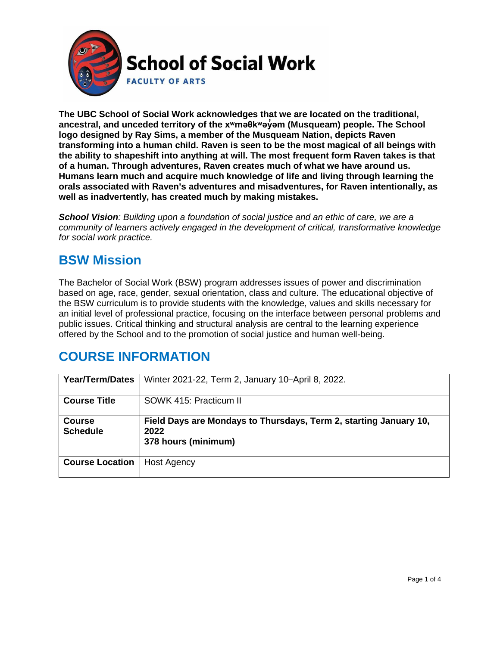

**The UBC School of Social Work acknowledges that we are located on the traditional, ancestral, and unceded territory of the [xʷməθkʷəy̓əm](http://www.musqueam.bc.ca/) (Musqueam) people. The School logo designed by Ray Sims, a member of the Musqueam Nation, depicts Raven transforming into a human child. Raven is seen to be the most magical of all beings with the ability to shapeshift into anything at will. The most frequent form Raven takes is that of a human. Through adventures, Raven creates much of what we have around us. Humans learn much and acquire much knowledge of life and living through learning the orals associated with Raven's adventures and misadventures, for Raven intentionally, as well as inadvertently, has created much by making mistakes.**

*School Vision: Building upon a foundation of social justice and an ethic of care, we are a community of learners actively engaged in the development of critical, transformative knowledge for social work practice.*

### **BSW Mission**

The Bachelor of Social Work (BSW) program addresses issues of power and discrimination based on age, race, gender, sexual orientation, class and culture. The educational objective of the BSW curriculum is to provide students with the knowledge, values and skills necessary for an initial level of professional practice, focusing on the interface between personal problems and public issues. Critical thinking and structural analysis are central to the learning experience offered by the School and to the promotion of social justice and human well-being.

## **COURSE INFORMATION**

| <b>Year/Term/Dates</b>           | Winter 2021-22, Term 2, January 10-April 8, 2022.                                                |
|----------------------------------|--------------------------------------------------------------------------------------------------|
| <b>Course Title</b>              | SOWK 415: Practicum II                                                                           |
| <b>Course</b><br><b>Schedule</b> | Field Days are Mondays to Thursdays, Term 2, starting January 10,<br>2022<br>378 hours (minimum) |
| <b>Course Location</b>           | <b>Host Agency</b>                                                                               |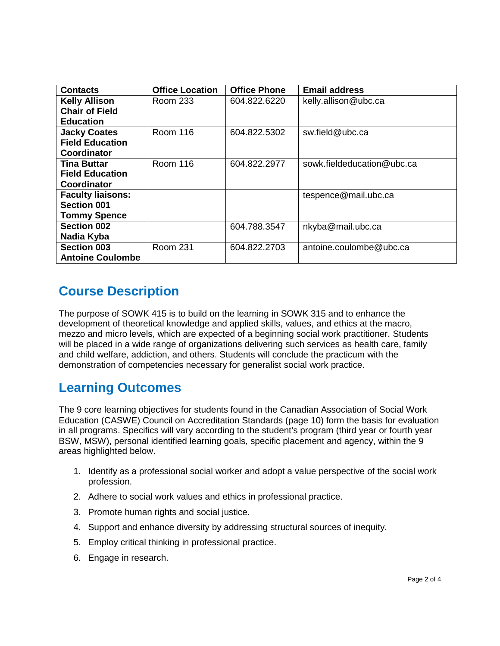| <b>Contacts</b>          | <b>Office Location</b> | <b>Office Phone</b> | <b>Email address</b>       |
|--------------------------|------------------------|---------------------|----------------------------|
| <b>Kelly Allison</b>     | Room 233               | 604.822.6220        | kelly.allison@ubc.ca       |
| <b>Chair of Field</b>    |                        |                     |                            |
| <b>Education</b>         |                        |                     |                            |
| <b>Jacky Coates</b>      | <b>Room 116</b>        | 604.822.5302        | sw.field@ubc.ca            |
| <b>Field Education</b>   |                        |                     |                            |
| Coordinator              |                        |                     |                            |
| <b>Tina Buttar</b>       | <b>Room 116</b>        | 604.822.2977        | sowk.fieldeducation@ubc.ca |
| <b>Field Education</b>   |                        |                     |                            |
| Coordinator              |                        |                     |                            |
| <b>Faculty liaisons:</b> |                        |                     | tespence@mail.ubc.ca       |
| <b>Section 001</b>       |                        |                     |                            |
| <b>Tommy Spence</b>      |                        |                     |                            |
| <b>Section 002</b>       |                        | 604.788.3547        | nkyba@mail.ubc.ca          |
| Nadia Kyba               |                        |                     |                            |
| <b>Section 003</b>       | <b>Room 231</b>        | 604.822.2703        | antoine.coulombe@ubc.ca    |
| <b>Antoine Coulombe</b>  |                        |                     |                            |

# **Course Description**

The purpose of SOWK 415 is to build on the learning in SOWK 315 and to enhance the development of theoretical knowledge and applied skills, values, and ethics at the macro, mezzo and micro levels, which are expected of a beginning social work practitioner. Students will be placed in a wide range of organizations delivering such services as health care, family and child welfare, addiction, and others. Students will conclude the practicum with the demonstration of competencies necessary for generalist social work practice.

#### **Learning Outcomes**

The 9 core learning objectives for students found in the Canadian Association of Social Work Education (CASWE) Council on Accreditation Standards (page 10) form the basis for evaluation in all programs. Specifics will vary according to the student's program (third year or fourth year BSW, MSW), personal identified learning goals, specific placement and agency, within the 9 areas highlighted below.

- 1. Identify as a professional social worker and adopt a value perspective of the social work profession.
- 2. Adhere to social work values and ethics in professional practice.
- 3. Promote human rights and social justice.
- 4. Support and enhance diversity by addressing structural sources of inequity.
- 5. Employ critical thinking in professional practice.
- 6. Engage in research.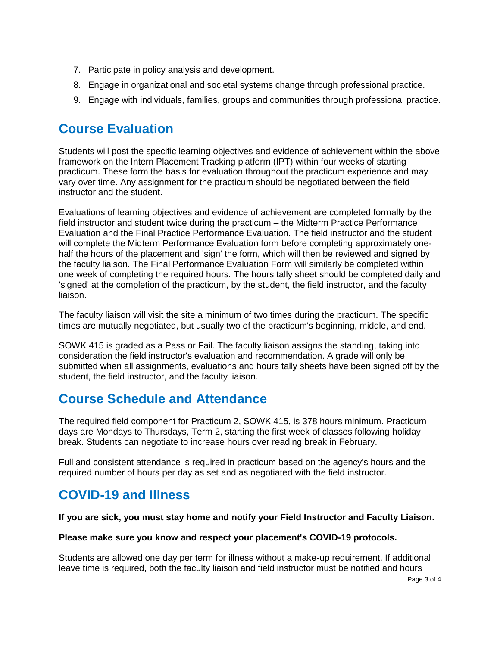- 7. Participate in policy analysis and development.
- 8. Engage in organizational and societal systems change through professional practice.
- 9. Engage with individuals, families, groups and communities through professional practice.

### **Course Evaluation**

Students will post the specific learning objectives and evidence of achievement within the above framework on the Intern Placement Tracking platform (IPT) within four weeks of starting practicum. These form the basis for evaluation throughout the practicum experience and may vary over time. Any assignment for the practicum should be negotiated between the field instructor and the student.

Evaluations of learning objectives and evidence of achievement are completed formally by the field instructor and student twice during the practicum – the Midterm Practice Performance Evaluation and the Final Practice Performance Evaluation. The field instructor and the student will complete the Midterm Performance Evaluation form before completing approximately onehalf the hours of the placement and 'sign' the form, which will then be reviewed and signed by the faculty liaison. The Final Performance Evaluation Form will similarly be completed within one week of completing the required hours. The hours tally sheet should be completed daily and 'signed' at the completion of the practicum, by the student, the field instructor, and the faculty liaison.

The faculty liaison will visit the site a minimum of two times during the practicum. The specific times are mutually negotiated, but usually two of the practicum's beginning, middle, and end.

SOWK 415 is graded as a Pass or Fail. The faculty liaison assigns the standing, taking into consideration the field instructor's evaluation and recommendation. A grade will only be submitted when all assignments, evaluations and hours tally sheets have been signed off by the student, the field instructor, and the faculty liaison.

## **Course Schedule and Attendance**

The required field component for Practicum 2, SOWK 415, is 378 hours minimum. Practicum days are Mondays to Thursdays, Term 2, starting the first week of classes following holiday break. Students can negotiate to increase hours over reading break in February.

Full and consistent attendance is required in practicum based on the agency's hours and the required number of hours per day as set and as negotiated with the field instructor.

## **COVID-19 and Illness**

#### **If you are sick, you must stay home and notify your Field Instructor and Faculty Liaison.**

#### **Please make sure you know and respect your placement's COVID-19 protocols.**

Students are allowed one day per term for illness without a make-up requirement. If additional leave time is required, both the faculty liaison and field instructor must be notified and hours